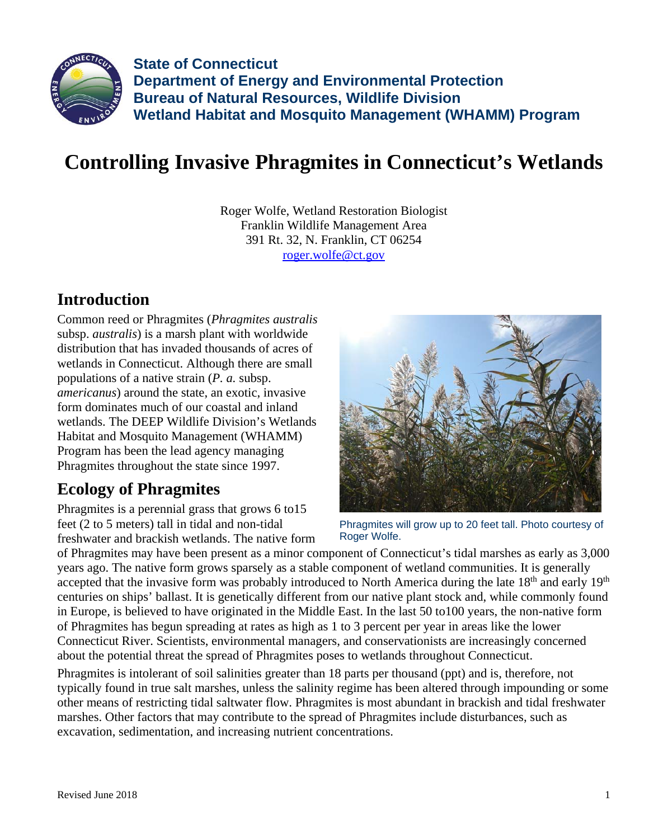

**State of Connecticut Department of Energy and Environmental Protection Bureau of Natural Resources, Wildlife Division Wetland Habitat and Mosquito Management (WHAMM) Program** 

## **Controlling Invasive Phragmites in Connecticut's Wetlands**

Roger Wolfe, Wetland Restoration Biologist Franklin Wildlife Management Area 391 Rt. 32, N. Franklin, CT 06254 roger.wolfe@ct.gov

## **Introduction**

Common reed or Phragmites (*Phragmites australis* subsp. *australis*) is a marsh plant with worldwide distribution that has invaded thousands of acres of wetlands in Connecticut. Although there are small populations of a native strain (*P. a.* subsp. *americanus*) around the state, an exotic, invasive form dominates much of our coastal and inland wetlands. The DEEP Wildlife Division's Wetlands Habitat and Mosquito Management (WHAMM) Program has been the lead agency managing Phragmites throughout the state since 1997.

## **Ecology of Phragmites**

Phragmites is a perennial grass that grows 6 to15 feet (2 to 5 meters) tall in tidal and non-tidal freshwater and brackish wetlands. The native form



Phragmites will grow up to 20 feet tall. Photo courtesy of Roger Wolfe.

of Phragmites may have been present as a minor component of Connecticut's tidal marshes as early as 3,000 years ago. The native form grows sparsely as a stable component of wetland communities. It is generally accepted that the invasive form was probably introduced to North America during the late 18<sup>th</sup> and early 19<sup>th</sup> centuries on ships' ballast. It is genetically different from our native plant stock and, while commonly found in Europe, is believed to have originated in the Middle East. In the last 50 to100 years, the non-native form of Phragmites has begun spreading at rates as high as 1 to 3 percent per year in areas like the lower Connecticut River. Scientists, environmental managers, and conservationists are increasingly concerned about the potential threat the spread of Phragmites poses to wetlands throughout Connecticut.

Phragmites is intolerant of soil salinities greater than 18 parts per thousand (ppt) and is, therefore, not typically found in true salt marshes, unless the salinity regime has been altered through impounding or some other means of restricting tidal saltwater flow. Phragmites is most abundant in brackish and tidal freshwater marshes. Other factors that may contribute to the spread of Phragmites include disturbances, such as excavation, sedimentation, and increasing nutrient concentrations.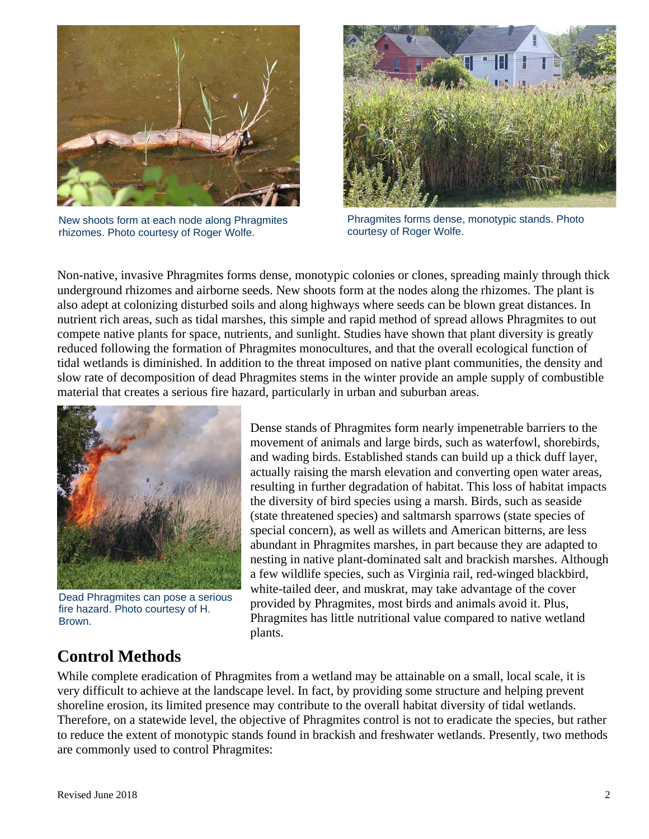

New shoots form at each node along Phragmites rhizomes. Photo courtesy of Roger Wolfe.



Phragmites forms dense, monotypic stands. Photo courtesy of Roger Wolfe.

Non-native, invasive Phragmites forms dense, monotypic colonies or clones, spreading mainly through thick underground rhizomes and airborne seeds. New shoots form at the nodes along the rhizomes. The plant is also adept at colonizing disturbed soils and along highways where seeds can be blown great distances. In nutrient rich areas, such as tidal marshes, this simple and rapid method of spread allows Phragmites to out compete native plants for space, nutrients, and sunlight. Studies have shown that plant diversity is greatly reduced following the formation of Phragmites monocultures, and that the overall ecological function of tidal wetlands is diminished. In addition to the threat imposed on native plant communities, the density and slow rate of decomposition of dead Phragmites stems in the winter provide an ample supply of combustible material that creates a serious fire hazard, particularly in urban and suburban areas.



Dead Phragmites can pose a serious fire hazard. Photo courtesy of H. Brown.

Dense stands of Phragmites form nearly impenetrable barriers to the movement of animals and large birds, such as waterfowl, shorebirds, and wading birds. Established stands can build up a thick duff layer, actually raising the marsh elevation and converting open water areas, resulting in further degradation of habitat. This loss of habitat impacts the diversity of bird species using a marsh. Birds, such as seaside (state threatened species) and saltmarsh sparrows (state species of special concern), as well as willets and American bitterns, are less abundant in Phragmites marshes, in part because they are adapted to nesting in native plant-dominated salt and brackish marshes. Although a few wildlife species, such as Virginia rail, red-winged blackbird, white-tailed deer, and muskrat, may take advantage of the cover provided by Phragmites, most birds and animals avoid it. Plus, Phragmites has little nutritional value compared to native wetland plants.

## **Control Methods**

While complete eradication of Phragmites from a wetland may be attainable on a small, local scale, it is very difficult to achieve at the landscape level. In fact, by providing some structure and helping prevent shoreline erosion, its limited presence may contribute to the overall habitat diversity of tidal wetlands. Therefore, on a statewide level, the objective of Phragmites control is not to eradicate the species, but rather to reduce the extent of monotypic stands found in brackish and freshwater wetlands. Presently, two methods are commonly used to control Phragmites: